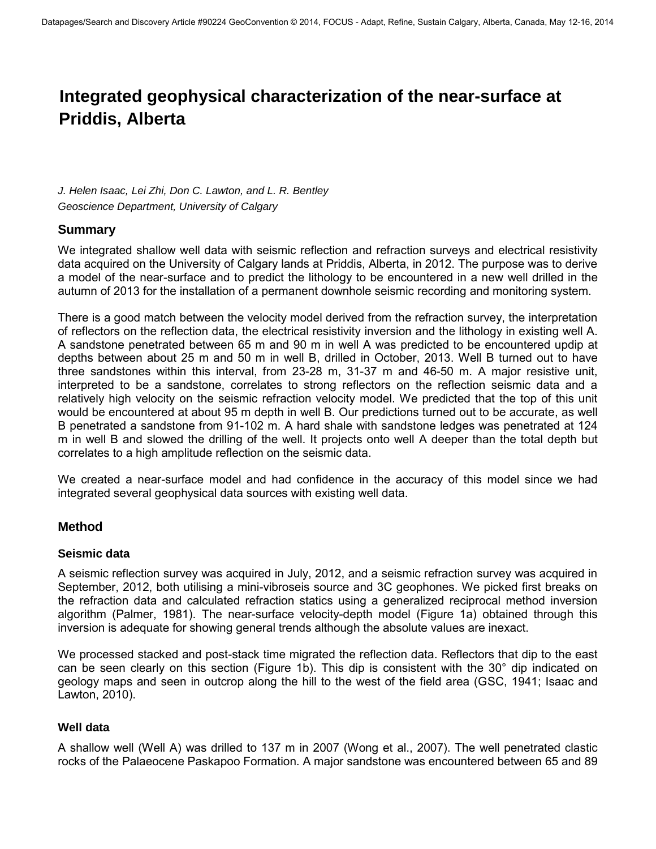# **Integrated geophysical characterization of the near-surface at Priddis, Alberta**

*J. Helen Isaac, Lei Zhi, Don C. Lawton, and L. R. Bentley Geoscience Department, University of Calgary* 

## **Summary**

We integrated shallow well data with seismic reflection and refraction surveys and electrical resistivity data acquired on the University of Calgary lands at Priddis, Alberta, in 2012. The purpose was to derive a model of the near-surface and to predict the lithology to be encountered in a new well drilled in the autumn of 2013 for the installation of a permanent downhole seismic recording and monitoring system.

There is a good match between the velocity model derived from the refraction survey, the interpretation of reflectors on the reflection data, the electrical resistivity inversion and the lithology in existing well A. A sandstone penetrated between 65 m and 90 m in well A was predicted to be encountered updip at depths between about 25 m and 50 m in well B, drilled in October, 2013. Well B turned out to have three sandstones within this interval, from 23-28 m, 31-37 m and 46-50 m. A major resistive unit, interpreted to be a sandstone, correlates to strong reflectors on the reflection seismic data and a relatively high velocity on the seismic refraction velocity model. We predicted that the top of this unit would be encountered at about 95 m depth in well B. Our predictions turned out to be accurate, as well B penetrated a sandstone from 91-102 m. A hard shale with sandstone ledges was penetrated at 124 m in well B and slowed the drilling of the well. It projects onto well A deeper than the total depth but correlates to a high amplitude reflection on the seismic data.

We created a near-surface model and had confidence in the accuracy of this model since we had integrated several geophysical data sources with existing well data.

## **Method**

## **Seismic data**

A seismic reflection survey was acquired in July, 2012, and a seismic refraction survey was acquired in September, 2012, both utilising a mini-vibroseis source and 3C geophones. We picked first breaks on the refraction data and calculated refraction statics using a generalized reciprocal method inversion algorithm (Palmer, 1981). The near-surface velocity-depth model (Figure 1a) obtained through this inversion is adequate for showing general trends although the absolute values are inexact.

We processed stacked and post-stack time migrated the reflection data. Reflectors that dip to the east can be seen clearly on this section (Figure 1b). This dip is consistent with the 30° dip indicated on geology maps and seen in outcrop along the hill to the west of the field area (GSC, 1941; Isaac and Lawton, 2010).

## **Well data**

A shallow well (Well A) was drilled to 137 m in 2007 (Wong et al., 2007). The well penetrated clastic rocks of the Palaeocene Paskapoo Formation. A major sandstone was encountered between 65 and 89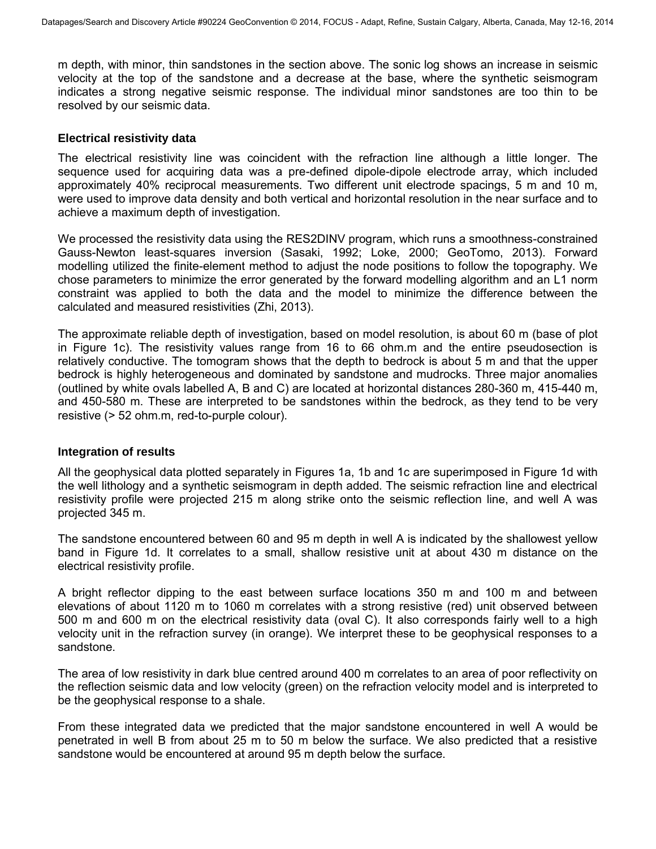m depth, with minor, thin sandstones in the section above. The sonic log shows an increase in seismic velocity at the top of the sandstone and a decrease at the base, where the synthetic seismogram indicates a strong negative seismic response. The individual minor sandstones are too thin to be resolved by our seismic data.

#### **Electrical resistivity data**

The electrical resistivity line was coincident with the refraction line although a little longer. The sequence used for acquiring data was a pre-defined dipole-dipole electrode array, which included approximately 40% reciprocal measurements. Two different unit electrode spacings, 5 m and 10 m, were used to improve data density and both vertical and horizontal resolution in the near surface and to achieve a maximum depth of investigation.

We processed the resistivity data using the RES2DINV program, which runs a smoothness-constrained Gauss-Newton least-squares inversion (Sasaki, 1992; Loke, 2000; GeoTomo, 2013). Forward modelling utilized the finite-element method to adjust the node positions to follow the topography. We chose parameters to minimize the error generated by the forward modelling algorithm and an L1 norm constraint was applied to both the data and the model to minimize the difference between the calculated and measured resistivities (Zhi, 2013).

The approximate reliable depth of investigation, based on model resolution, is about 60 m (base of plot in Figure 1c). The resistivity values range from 16 to 66 ohm.m and the entire pseudosection is relatively conductive. The tomogram shows that the depth to bedrock is about 5 m and that the upper bedrock is highly heterogeneous and dominated by sandstone and mudrocks. Three major anomalies (outlined by white ovals labelled A, B and C) are located at horizontal distances 280-360 m, 415-440 m, and 450-580 m. These are interpreted to be sandstones within the bedrock, as they tend to be very resistive (> 52 ohm.m, red-to-purple colour).

#### **Integration of results**

All the geophysical data plotted separately in Figures 1a, 1b and 1c are superimposed in Figure 1d with the well lithology and a synthetic seismogram in depth added. The seismic refraction line and electrical resistivity profile were projected 215 m along strike onto the seismic reflection line, and well A was projected 345 m.

The sandstone encountered between 60 and 95 m depth in well A is indicated by the shallowest yellow band in Figure 1d. It correlates to a small, shallow resistive unit at about 430 m distance on the electrical resistivity profile.

A bright reflector dipping to the east between surface locations 350 m and 100 m and between elevations of about 1120 m to 1060 m correlates with a strong resistive (red) unit observed between 500 m and 600 m on the electrical resistivity data (oval C). It also corresponds fairly well to a high velocity unit in the refraction survey (in orange). We interpret these to be geophysical responses to a sandstone.

The area of low resistivity in dark blue centred around 400 m correlates to an area of poor reflectivity on the reflection seismic data and low velocity (green) on the refraction velocity model and is interpreted to be the geophysical response to a shale.

From these integrated data we predicted that the major sandstone encountered in well A would be penetrated in well B from about 25 m to 50 m below the surface. We also predicted that a resistive sandstone would be encountered at around 95 m depth below the surface.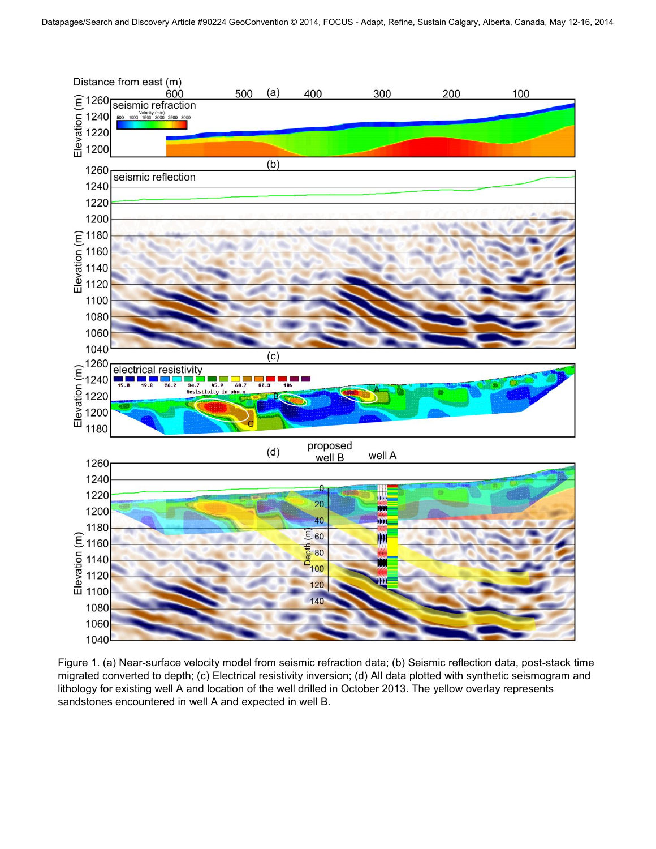

Figure 1. (a) Near-surface velocity model from seismic refraction data; (b) Seismic reflection data, post-stack time migrated converted to depth; (c) Electrical resistivity inversion; (d) All data plotted with synthetic seismogram and lithology for existing well A and location of the well drilled in October 2013. The yellow overlay represents sandstones encountered in well A and expected in well B.